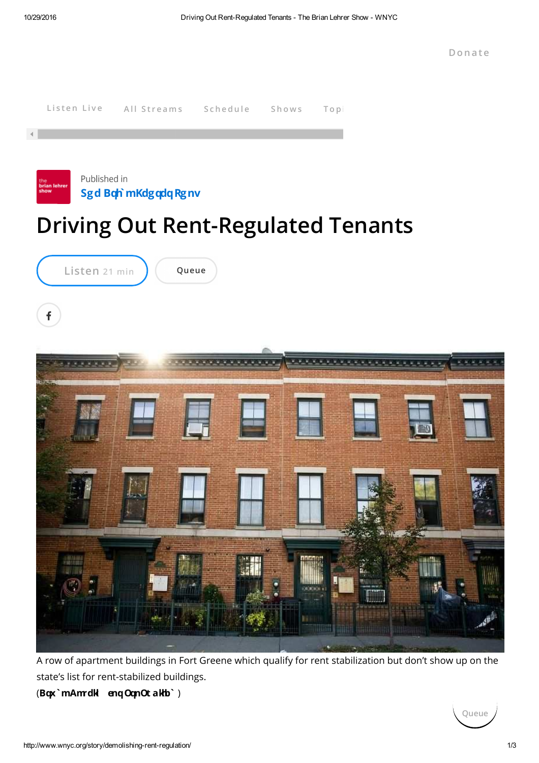

A row of apartment buildings in Fort Greene which qualify for rent stabilization but don't show up on the state's list for rent-stabilized buildings.

(**Bqx`m Amrdkl enq OqnOt akhb`** )

**Queue**